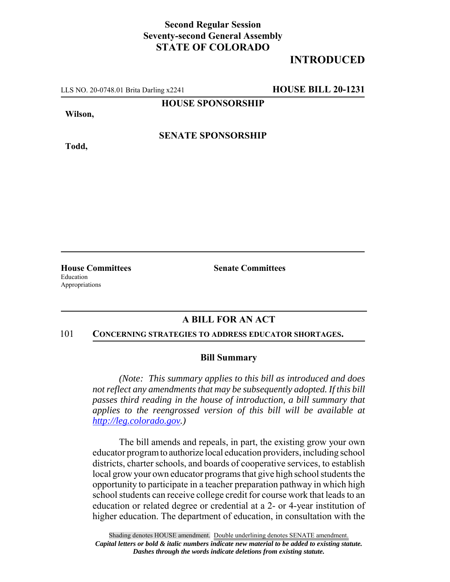## **Second Regular Session Seventy-second General Assembly STATE OF COLORADO**

# **INTRODUCED**

LLS NO. 20-0748.01 Brita Darling x2241 **HOUSE BILL 20-1231**

**HOUSE SPONSORSHIP**

**Wilson,**

**SENATE SPONSORSHIP**

**Todd,**

Education Appropriations

**House Committees Senate Committees**

## **A BILL FOR AN ACT**

#### 101 **CONCERNING STRATEGIES TO ADDRESS EDUCATOR SHORTAGES.**

### **Bill Summary**

*(Note: This summary applies to this bill as introduced and does not reflect any amendments that may be subsequently adopted. If this bill passes third reading in the house of introduction, a bill summary that applies to the reengrossed version of this bill will be available at http://leg.colorado.gov.)*

The bill amends and repeals, in part, the existing grow your own educator program to authorize local education providers, including school districts, charter schools, and boards of cooperative services, to establish local grow your own educator programs that give high school students the opportunity to participate in a teacher preparation pathway in which high school students can receive college credit for course work that leads to an education or related degree or credential at a 2- or 4-year institution of higher education. The department of education, in consultation with the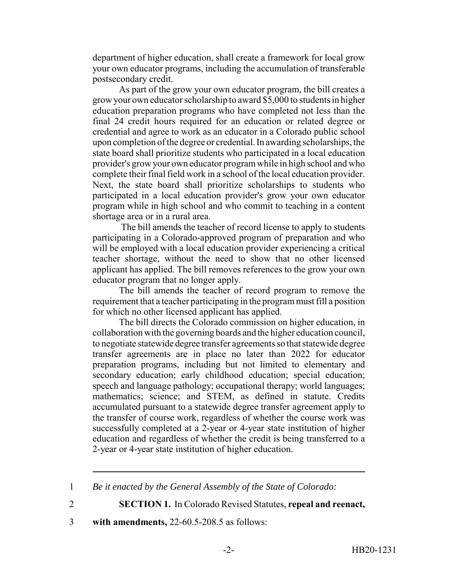department of higher education, shall create a framework for local grow your own educator programs, including the accumulation of transferable postsecondary credit.

As part of the grow your own educator program, the bill creates a grow your own educator scholarship to award \$5,000 to students in higher education preparation programs who have completed not less than the final 24 credit hours required for an education or related degree or credential and agree to work as an educator in a Colorado public school upon completion of the degree or credential. In awarding scholarships, the state board shall prioritize students who participated in a local education provider's grow your own educator program while in high school and who complete their final field work in a school of the local education provider. Next, the state board shall prioritize scholarships to students who participated in a local education provider's grow your own educator program while in high school and who commit to teaching in a content shortage area or in a rural area.

 The bill amends the teacher of record license to apply to students participating in a Colorado-approved program of preparation and who will be employed with a local education provider experiencing a critical teacher shortage, without the need to show that no other licensed applicant has applied. The bill removes references to the grow your own educator program that no longer apply.

The bill amends the teacher of record program to remove the requirement that a teacher participating in the program must fill a position for which no other licensed applicant has applied.

The bill directs the Colorado commission on higher education, in collaboration with the governing boards and the higher education council, to negotiate statewide degree transfer agreements so that statewide degree transfer agreements are in place no later than 2022 for educator preparation programs, including but not limited to elementary and secondary education; early childhood education; special education; speech and language pathology; occupational therapy; world languages; mathematics; science; and STEM, as defined in statute. Credits accumulated pursuant to a statewide degree transfer agreement apply to the transfer of course work, regardless of whether the course work was successfully completed at a 2-year or 4-year state institution of higher education and regardless of whether the credit is being transferred to a 2-year or 4-year state institution of higher education.

2 **SECTION 1.** In Colorado Revised Statutes, **repeal and reenact,**

3 **with amendments,** 22-60.5-208.5 as follows:

<sup>1</sup> *Be it enacted by the General Assembly of the State of Colorado:*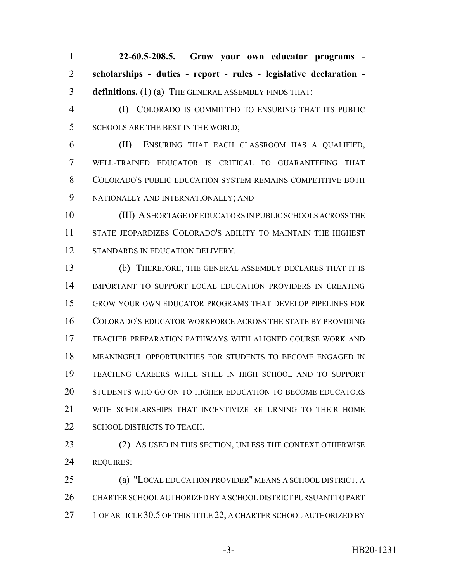**22-60.5-208.5. Grow your own educator programs - scholarships - duties - report - rules - legislative declaration - definitions.** (1) (a) THE GENERAL ASSEMBLY FINDS THAT:

 (I) COLORADO IS COMMITTED TO ENSURING THAT ITS PUBLIC 5 SCHOOLS ARE THE BEST IN THE WORLD;

 (II) ENSURING THAT EACH CLASSROOM HAS A QUALIFIED, WELL-TRAINED EDUCATOR IS CRITICAL TO GUARANTEEING THAT COLORADO'S PUBLIC EDUCATION SYSTEM REMAINS COMPETITIVE BOTH NATIONALLY AND INTERNATIONALLY; AND

 (III) A SHORTAGE OF EDUCATORS IN PUBLIC SCHOOLS ACROSS THE STATE JEOPARDIZES COLORADO'S ABILITY TO MAINTAIN THE HIGHEST 12 STANDARDS IN EDUCATION DELIVERY.

 (b) THEREFORE, THE GENERAL ASSEMBLY DECLARES THAT IT IS IMPORTANT TO SUPPORT LOCAL EDUCATION PROVIDERS IN CREATING GROW YOUR OWN EDUCATOR PROGRAMS THAT DEVELOP PIPELINES FOR COLORADO'S EDUCATOR WORKFORCE ACROSS THE STATE BY PROVIDING TEACHER PREPARATION PATHWAYS WITH ALIGNED COURSE WORK AND MEANINGFUL OPPORTUNITIES FOR STUDENTS TO BECOME ENGAGED IN TEACHING CAREERS WHILE STILL IN HIGH SCHOOL AND TO SUPPORT STUDENTS WHO GO ON TO HIGHER EDUCATION TO BECOME EDUCATORS WITH SCHOLARSHIPS THAT INCENTIVIZE RETURNING TO THEIR HOME 22 SCHOOL DISTRICTS TO TEACH.

23 (2) AS USED IN THIS SECTION, UNLESS THE CONTEXT OTHERWISE REQUIRES:

 (a) "LOCAL EDUCATION PROVIDER" MEANS A SCHOOL DISTRICT, A CHARTER SCHOOL AUTHORIZED BY A SCHOOL DISTRICT PURSUANT TO PART 27 1 OF ARTICLE 30.5 OF THIS TITLE 22, A CHARTER SCHOOL AUTHORIZED BY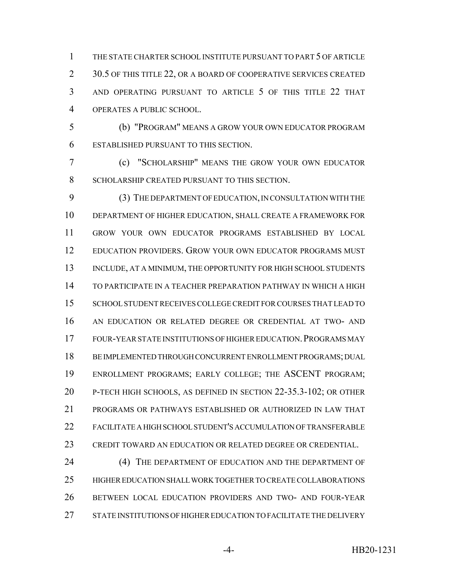THE STATE CHARTER SCHOOL INSTITUTE PURSUANT TO PART 5 OF ARTICLE 2 30.5 OF THIS TITLE 22, OR A BOARD OF COOPERATIVE SERVICES CREATED AND OPERATING PURSUANT TO ARTICLE 5 OF THIS TITLE 22 THAT OPERATES A PUBLIC SCHOOL.

 (b) "PROGRAM" MEANS A GROW YOUR OWN EDUCATOR PROGRAM ESTABLISHED PURSUANT TO THIS SECTION.

 (c) "SCHOLARSHIP" MEANS THE GROW YOUR OWN EDUCATOR SCHOLARSHIP CREATED PURSUANT TO THIS SECTION.

 (3) THE DEPARTMENT OF EDUCATION, IN CONSULTATION WITH THE DEPARTMENT OF HIGHER EDUCATION, SHALL CREATE A FRAMEWORK FOR GROW YOUR OWN EDUCATOR PROGRAMS ESTABLISHED BY LOCAL EDUCATION PROVIDERS. GROW YOUR OWN EDUCATOR PROGRAMS MUST 13 INCLUDE, AT A MINIMUM, THE OPPORTUNITY FOR HIGH SCHOOL STUDENTS TO PARTICIPATE IN A TEACHER PREPARATION PATHWAY IN WHICH A HIGH SCHOOL STUDENT RECEIVES COLLEGE CREDIT FOR COURSES THAT LEAD TO AN EDUCATION OR RELATED DEGREE OR CREDENTIAL AT TWO- AND 17 FOUR-YEAR STATE INSTITUTIONS OF HIGHER EDUCATION. PROGRAMS MAY BE IMPLEMENTED THROUGH CONCURRENT ENROLLMENT PROGRAMS; DUAL ENROLLMENT PROGRAMS; EARLY COLLEGE; THE ASCENT PROGRAM; P-TECH HIGH SCHOOLS, AS DEFINED IN SECTION 22-35.3-102; OR OTHER PROGRAMS OR PATHWAYS ESTABLISHED OR AUTHORIZED IN LAW THAT FACILITATE A HIGH SCHOOL STUDENT'S ACCUMULATION OF TRANSFERABLE CREDIT TOWARD AN EDUCATION OR RELATED DEGREE OR CREDENTIAL.

24 (4) THE DEPARTMENT OF EDUCATION AND THE DEPARTMENT OF HIGHER EDUCATION SHALL WORK TOGETHER TO CREATE COLLABORATIONS BETWEEN LOCAL EDUCATION PROVIDERS AND TWO- AND FOUR-YEAR STATE INSTITUTIONS OF HIGHER EDUCATION TO FACILITATE THE DELIVERY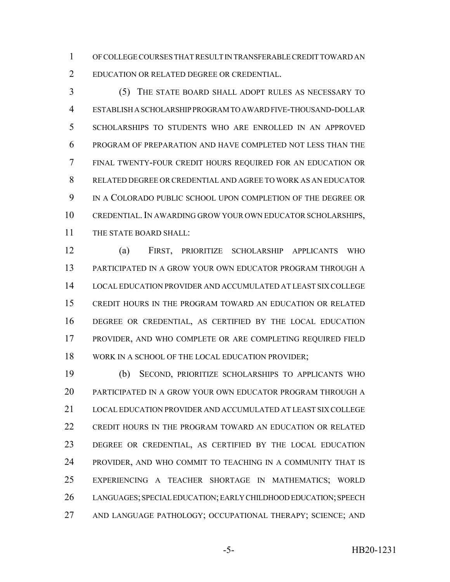OF COLLEGE COURSES THAT RESULT IN TRANSFERABLE CREDIT TOWARD AN EDUCATION OR RELATED DEGREE OR CREDENTIAL.

 (5) THE STATE BOARD SHALL ADOPT RULES AS NECESSARY TO ESTABLISH A SCHOLARSHIP PROGRAM TO AWARD FIVE-THOUSAND-DOLLAR SCHOLARSHIPS TO STUDENTS WHO ARE ENROLLED IN AN APPROVED PROGRAM OF PREPARATION AND HAVE COMPLETED NOT LESS THAN THE FINAL TWENTY-FOUR CREDIT HOURS REQUIRED FOR AN EDUCATION OR RELATED DEGREE OR CREDENTIAL AND AGREE TO WORK AS AN EDUCATOR IN A COLORADO PUBLIC SCHOOL UPON COMPLETION OF THE DEGREE OR CREDENTIAL.IN AWARDING GROW YOUR OWN EDUCATOR SCHOLARSHIPS, THE STATE BOARD SHALL:

 (a) FIRST, PRIORITIZE SCHOLARSHIP APPLICANTS WHO PARTICIPATED IN A GROW YOUR OWN EDUCATOR PROGRAM THROUGH A LOCAL EDUCATION PROVIDER AND ACCUMULATED AT LEAST SIX COLLEGE CREDIT HOURS IN THE PROGRAM TOWARD AN EDUCATION OR RELATED DEGREE OR CREDENTIAL, AS CERTIFIED BY THE LOCAL EDUCATION PROVIDER, AND WHO COMPLETE OR ARE COMPLETING REQUIRED FIELD WORK IN A SCHOOL OF THE LOCAL EDUCATION PROVIDER;

 (b) SECOND, PRIORITIZE SCHOLARSHIPS TO APPLICANTS WHO PARTICIPATED IN A GROW YOUR OWN EDUCATOR PROGRAM THROUGH A LOCAL EDUCATION PROVIDER AND ACCUMULATED AT LEAST SIX COLLEGE CREDIT HOURS IN THE PROGRAM TOWARD AN EDUCATION OR RELATED DEGREE OR CREDENTIAL, AS CERTIFIED BY THE LOCAL EDUCATION PROVIDER, AND WHO COMMIT TO TEACHING IN A COMMUNITY THAT IS EXPERIENCING A TEACHER SHORTAGE IN MATHEMATICS; WORLD LANGUAGES; SPECIAL EDUCATION; EARLY CHILDHOOD EDUCATION; SPEECH AND LANGUAGE PATHOLOGY; OCCUPATIONAL THERAPY; SCIENCE; AND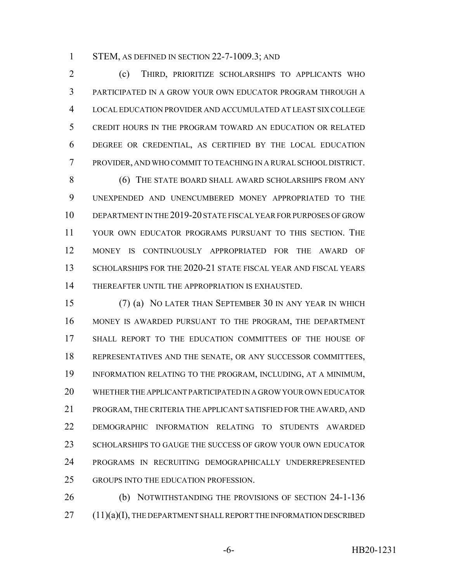1 STEM, AS DEFINED IN SECTION 22-7-1009.3; AND

 (c) THIRD, PRIORITIZE SCHOLARSHIPS TO APPLICANTS WHO PARTICIPATED IN A GROW YOUR OWN EDUCATOR PROGRAM THROUGH A LOCAL EDUCATION PROVIDER AND ACCUMULATED AT LEAST SIX COLLEGE CREDIT HOURS IN THE PROGRAM TOWARD AN EDUCATION OR RELATED DEGREE OR CREDENTIAL, AS CERTIFIED BY THE LOCAL EDUCATION PROVIDER, AND WHO COMMIT TO TEACHING IN A RURAL SCHOOL DISTRICT.

 (6) THE STATE BOARD SHALL AWARD SCHOLARSHIPS FROM ANY UNEXPENDED AND UNENCUMBERED MONEY APPROPRIATED TO THE DEPARTMENT IN THE 2019-20 STATE FISCAL YEAR FOR PURPOSES OF GROW YOUR OWN EDUCATOR PROGRAMS PURSUANT TO THIS SECTION. THE MONEY IS CONTINUOUSLY APPROPRIATED FOR THE AWARD OF 13 SCHOLARSHIPS FOR THE 2020-21 STATE FISCAL YEAR AND FISCAL YEARS THEREAFTER UNTIL THE APPROPRIATION IS EXHAUSTED.

 (7) (a) NO LATER THAN SEPTEMBER 30 IN ANY YEAR IN WHICH MONEY IS AWARDED PURSUANT TO THE PROGRAM, THE DEPARTMENT SHALL REPORT TO THE EDUCATION COMMITTEES OF THE HOUSE OF REPRESENTATIVES AND THE SENATE, OR ANY SUCCESSOR COMMITTEES, INFORMATION RELATING TO THE PROGRAM, INCLUDING, AT A MINIMUM, WHETHER THE APPLICANT PARTICIPATED IN A GROW YOUR OWN EDUCATOR PROGRAM, THE CRITERIA THE APPLICANT SATISFIED FOR THE AWARD, AND DEMOGRAPHIC INFORMATION RELATING TO STUDENTS AWARDED SCHOLARSHIPS TO GAUGE THE SUCCESS OF GROW YOUR OWN EDUCATOR PROGRAMS IN RECRUITING DEMOGRAPHICALLY UNDERREPRESENTED GROUPS INTO THE EDUCATION PROFESSION.

 (b) NOTWITHSTANDING THE PROVISIONS OF SECTION 24-1-136 (11)(a)(I), THE DEPARTMENT SHALL REPORT THE INFORMATION DESCRIBED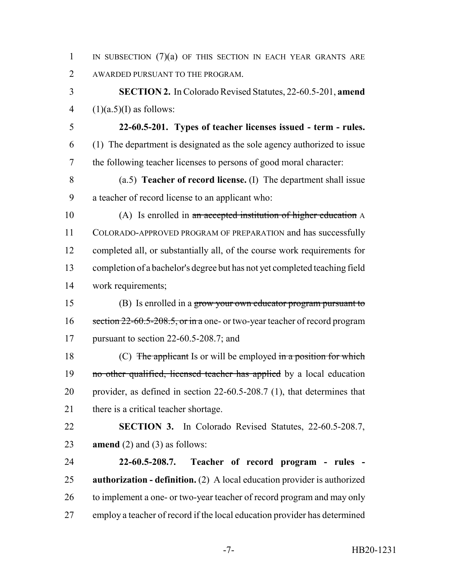1 IN SUBSECTION  $(7)(a)$  of this section in each year grants are AWARDED PURSUANT TO THE PROGRAM.

 **SECTION 2.** In Colorado Revised Statutes, 22-60.5-201, **amend** 4  $(1)(a.5)(I)$  as follows:

- **22-60.5-201. Types of teacher licenses issued term rules.** (1) The department is designated as the sole agency authorized to issue the following teacher licenses to persons of good moral character:
- (a.5) **Teacher of record license.** (I) The department shall issue a teacher of record license to an applicant who:
- (A) Is enrolled in an accepted institution of higher education A COLORADO-APPROVED PROGRAM OF PREPARATION and has successfully completed all, or substantially all, of the course work requirements for completion of a bachelor's degree but has not yet completed teaching field work requirements;
- 15 (B) Is enrolled in a grow your own educator program pursuant to 16 section 22-60.5-208.5, or in a one- or two-year teacher of record program pursuant to section 22-60.5-208.7; and

18 (C) The applicant Is or will be employed in a position for which 19 no other qualified, licensed teacher has applied by a local education provider, as defined in section 22-60.5-208.7 (1), that determines that 21 there is a critical teacher shortage.

 **SECTION 3.** In Colorado Revised Statutes, 22-60.5-208.7, **amend** (2) and (3) as follows:

 **22-60.5-208.7. Teacher of record program - rules - authorization - definition.** (2) A local education provider is authorized 26 to implement a one- or two-year teacher of record program and may only employ a teacher of record if the local education provider has determined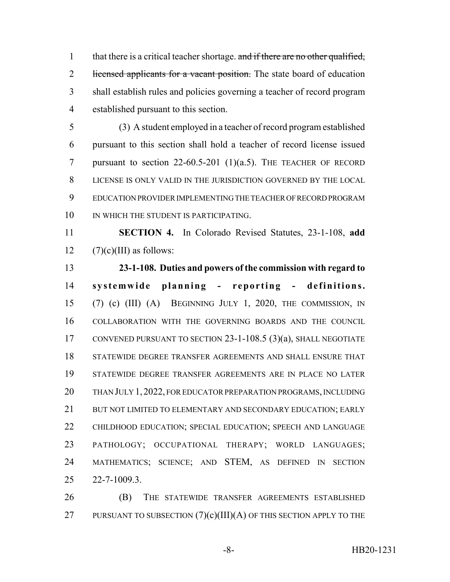1 that there is a critical teacher shortage. and if there are no other qualified, 2 licensed applicants for a vacant position. The state board of education shall establish rules and policies governing a teacher of record program established pursuant to this section.

 (3) A student employed in a teacher of record program established pursuant to this section shall hold a teacher of record license issued pursuant to section 22-60.5-201 (1)(a.5). THE TEACHER OF RECORD LICENSE IS ONLY VALID IN THE JURISDICTION GOVERNED BY THE LOCAL EDUCATION PROVIDER IMPLEMENTING THE TEACHER OF RECORD PROGRAM 10 IN WHICH THE STUDENT IS PARTICIPATING.

 **SECTION 4.** In Colorado Revised Statutes, 23-1-108, **add** 12  $(7)(c)(III)$  as follows:

 **23-1-108. Duties and powers of the commission with regard to systemwide planning - reporting - definitions.** (7) (c) (III) (A) BEGINNING JULY 1, 2020, THE COMMISSION, IN COLLABORATION WITH THE GOVERNING BOARDS AND THE COUNCIL CONVENED PURSUANT TO SECTION 23-1-108.5 (3)(a), SHALL NEGOTIATE STATEWIDE DEGREE TRANSFER AGREEMENTS AND SHALL ENSURE THAT STATEWIDE DEGREE TRANSFER AGREEMENTS ARE IN PLACE NO LATER THAN JULY 1, 2022, FOR EDUCATOR PREPARATION PROGRAMS, INCLUDING 21 BUT NOT LIMITED TO ELEMENTARY AND SECONDARY EDUCATION; EARLY CHILDHOOD EDUCATION; SPECIAL EDUCATION; SPEECH AND LANGUAGE PATHOLOGY; OCCUPATIONAL THERAPY; WORLD LANGUAGES; MATHEMATICS; SCIENCE; AND STEM, AS DEFINED IN SECTION 22-7-1009.3.

 (B) THE STATEWIDE TRANSFER AGREEMENTS ESTABLISHED 27 PURSUANT TO SUBSECTION  $(7)(c)(III)(A)$  OF THIS SECTION APPLY TO THE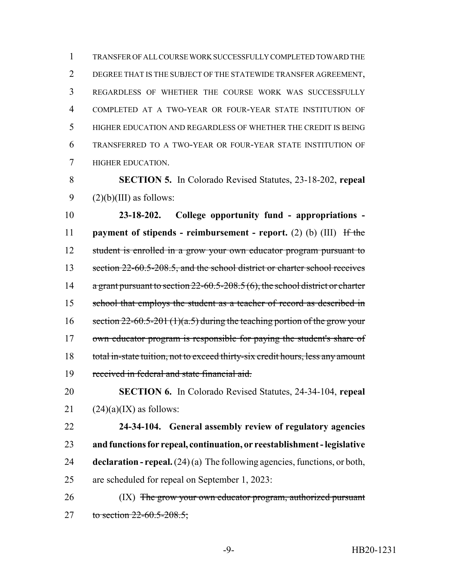TRANSFER OF ALL COURSE WORK SUCCESSFULLY COMPLETED TOWARD THE DEGREE THAT IS THE SUBJECT OF THE STATEWIDE TRANSFER AGREEMENT, REGARDLESS OF WHETHER THE COURSE WORK WAS SUCCESSFULLY COMPLETED AT A TWO-YEAR OR FOUR-YEAR STATE INSTITUTION OF HIGHER EDUCATION AND REGARDLESS OF WHETHER THE CREDIT IS BEING TRANSFERRED TO A TWO-YEAR OR FOUR-YEAR STATE INSTITUTION OF HIGHER EDUCATION.

 **SECTION 5.** In Colorado Revised Statutes, 23-18-202, **repeal** 9  $(2)(b)(III)$  as follows:

 **23-18-202. College opportunity fund - appropriations - payment of stipends - reimbursement - report.** (2) (b) (III) If the student is enrolled in a grow your own educator program pursuant to 13 section 22-60.5-208.5, and the school district or charter school receives 14 a grant pursuant to section 22-60.5-208.5 (6), the school district or charter 15 school that employs the student as a teacher of record as described in 16 section  $22-60.5-201$  (1)(a.5) during the teaching portion of the grow your 17 own educator program is responsible for paying the student's share of 18 total in-state tuition, not to exceed thirty-six credit hours, less any amount received in federal and state financial aid.

 **SECTION 6.** In Colorado Revised Statutes, 24-34-104, **repeal** 21  $(24)(a)(IX)$  as follows:

 **24-34-104. General assembly review of regulatory agencies and functions for repeal, continuation, or reestablishment - legislative declaration - repeal.** (24) (a) The following agencies, functions, or both, are scheduled for repeal on September 1, 2023:

26 (IX) The grow your own educator program, authorized pursuant 27 to section 22-60.5-208.5;